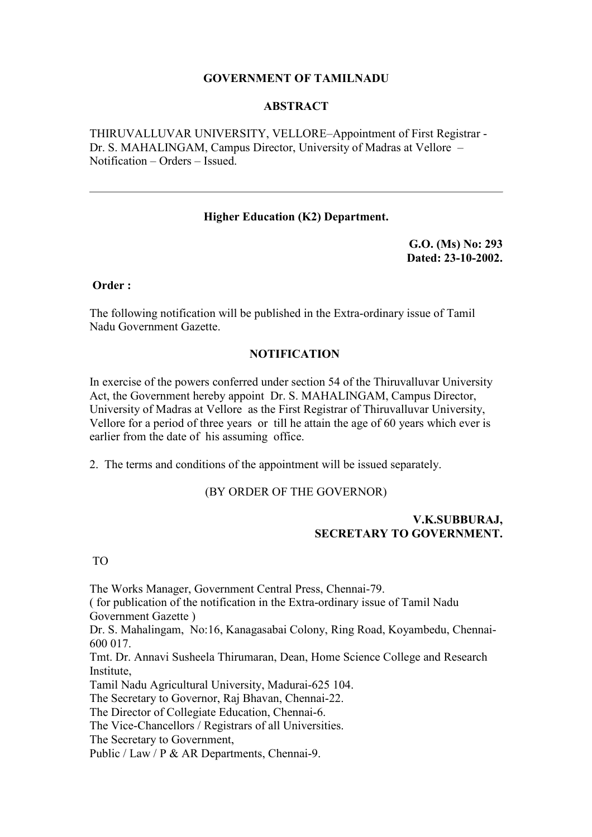### **GOVERNMENT OF TAMILNADU**

#### **ABSTRACT**

THIRUVALLUVAR UNIVERSITY, VELLORE–Appointment of First Registrar - Dr. S. MAHALINGAM, Campus Director, University of Madras at Vellore – Notification – Orders – Issued.

### **Higher Education (K2) Department.**

**G.O. (Ms) No: 293 Dated: 23-10-2002.**

**Order :** 

The following notification will be published in the Extra-ordinary issue of Tamil Nadu Government Gazette.

#### **NOTIFICATION**

In exercise of the powers conferred under section 54 of the Thiruvalluvar University Act, the Government hereby appoint Dr. S. MAHALINGAM, Campus Director, University of Madras at Vellore as the First Registrar of Thiruvalluvar University, Vellore for a period of three years or till he attain the age of 60 years which ever is earlier from the date of his assuming office.

2. The terms and conditions of the appointment will be issued separately.

# (BY ORDER OF THE GOVERNOR)

## **V.K.SUBBURAJ, SECRETARY TO GOVERNMENT.**

TO

The Works Manager, Government Central Press, Chennai-79. ( for publication of the notification in the Extra-ordinary issue of Tamil Nadu Government Gazette )

Dr. S. Mahalingam, No:16, Kanagasabai Colony, Ring Road, Koyambedu, Chennai-600 017.

Tmt. Dr. Annavi Susheela Thirumaran, Dean, Home Science College and Research Institute,

Tamil Nadu Agricultural University, Madurai-625 104.

The Secretary to Governor, Raj Bhavan, Chennai-22.

The Director of Collegiate Education, Chennai-6.

The Vice-Chancellors / Registrars of all Universities.

The Secretary to Government,

Public / Law / P & AR Departments, Chennai-9.